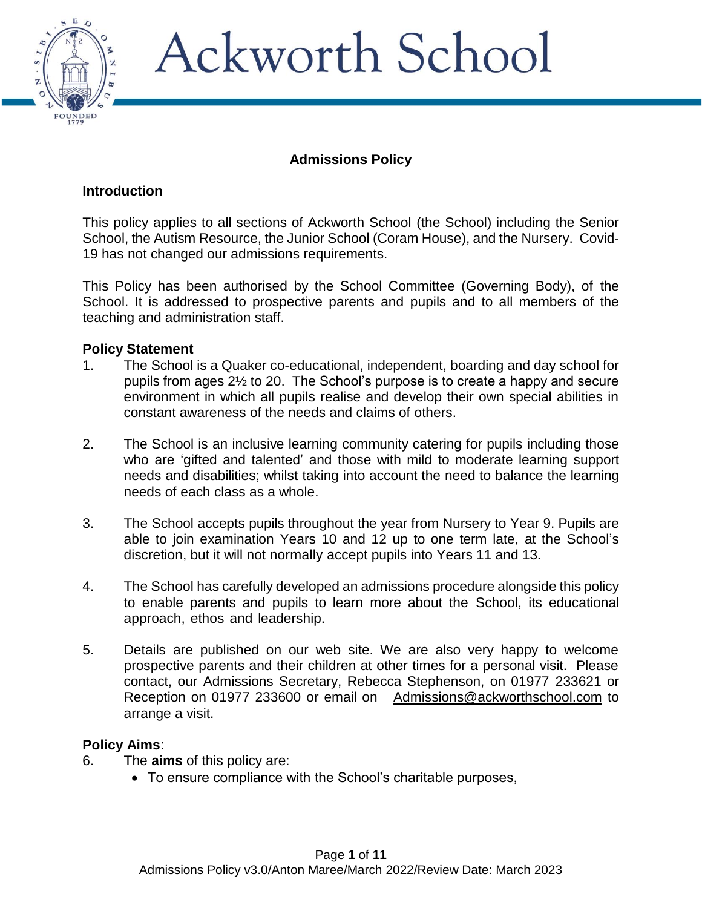

### **Admissions Policy**

### **Introduction**

This policy applies to all sections of Ackworth School (the School) including the Senior School, the Autism Resource, the Junior School (Coram House), and the Nursery. Covid-19 has not changed our admissions requirements.

This Policy has been authorised by the School Committee (Governing Body), of the School. It is addressed to prospective parents and pupils and to all members of the teaching and administration staff.

### **Policy Statement**

- 1. The School is a Quaker co-educational, independent, boarding and day school for pupils from ages 2½ to 20. The School's purpose is to create a happy and secure environment in which all pupils realise and develop their own special abilities in constant awareness of the needs and claims of others.
- 2. The School is an inclusive learning community catering for pupils including those who are 'gifted and talented' and those with mild to moderate learning support needs and disabilities; whilst taking into account the need to balance the learning needs of each class as a whole.
- 3. The School accepts pupils throughout the year from Nursery to Year 9. Pupils are able to join examination Years 10 and 12 up to one term late, at the School's discretion, but it will not normally accept pupils into Years 11 and 13.
- 4. The School has carefully developed an admissions procedure alongside this policy to enable parents and pupils to learn more about the School, its educational approach, ethos and leadership.
- 5. Details are published on our web site. We are also very happy to welcome prospective parents and their children at other times for a personal visit. Please contact, our Admissions Secretary, Rebecca Stephenson, on 01977 233621 or Reception on 01977 233600 or email on [Admissions@ackworthschool.com](mailto:Admissions@ackworthschool.com) to arrange a visit.

### **Policy Aims**:

- 6. The **aims** of this policy are:
	- To ensure compliance with the School's charitable purposes,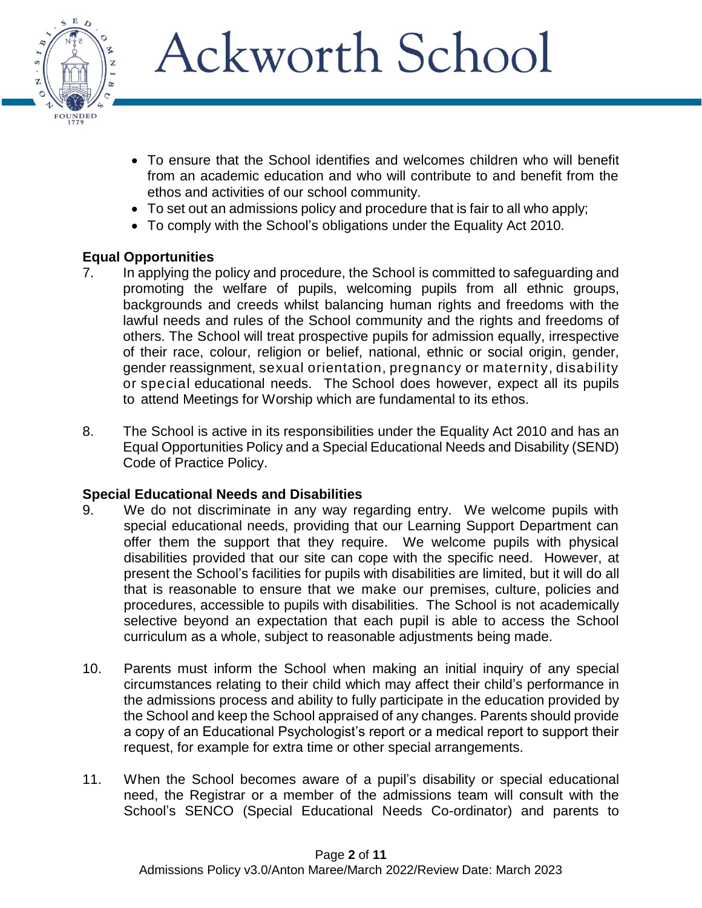

- To ensure that the School identifies and welcomes children who will benefit from an academic education and who will contribute to and benefit from the ethos and activities of our school community.
- To set out an admissions policy and procedure that is fair to all who apply;
- To comply with the School's obligations under the Equality Act 2010.

## **Equal Opportunities**

- 7. In applying the policy and procedure, the School is committed to safeguarding and promoting the welfare of pupils, welcoming pupils from all ethnic groups, backgrounds and creeds whilst balancing human rights and freedoms with the lawful needs and rules of the School community and the rights and freedoms of others. The School will treat prospective pupils for admission equally, irrespective of their race, colour, religion or belief, national, ethnic or social origin, gender, gender reassignment, sexual orientation, pregnancy or maternity, disability or special educational needs. The School does however, expect all its pupils to attend Meetings for Worship which are fundamental to its ethos.
- 8. The School is active in its responsibilities under the Equality Act 2010 and has an Equal Opportunities Policy and a Special Educational Needs and Disability (SEND) Code of Practice Policy.

### **Special Educational Needs and Disabilities**

- 9. We do not discriminate in any way regarding entry. We welcome pupils with special educational needs, providing that our Learning Support Department can offer them the support that they require. We welcome pupils with physical disabilities provided that our site can cope with the specific need. However, at present the School's facilities for pupils with disabilities are limited, but it will do all that is reasonable to ensure that we make our premises, culture, policies and procedures, accessible to pupils with disabilities. The School is not academically selective beyond an expectation that each pupil is able to access the School curriculum as a whole, subject to reasonable adjustments being made.
- 10. Parents must inform the School when making an initial inquiry of any special circumstances relating to their child which may affect their child's performance in the admissions process and ability to fully participate in the education provided by the School and keep the School appraised of any changes. Parents should provide a copy of an Educational Psychologist's report or a medical report to support their request, for example for extra time or other special arrangements.
- 11. When the School becomes aware of a pupil's disability or special educational need, the Registrar or a member of the admissions team will consult with the School's SENCO (Special Educational Needs Co-ordinator) and parents to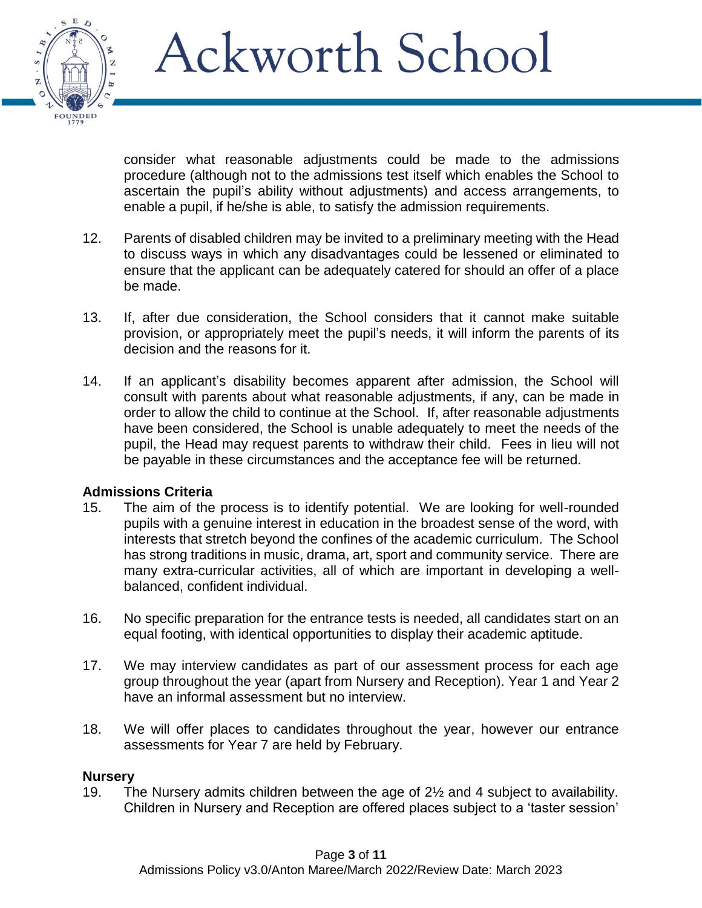

consider what reasonable adjustments could be made to the admissions procedure (although not to the admissions test itself which enables the School to ascertain the pupil's ability without adjustments) and access arrangements, to enable a pupil, if he/she is able, to satisfy the admission requirements.

- 12. Parents of disabled children may be invited to a preliminary meeting with the Head to discuss ways in which any disadvantages could be lessened or eliminated to ensure that the applicant can be adequately catered for should an offer of a place be made.
- 13. If, after due consideration, the School considers that it cannot make suitable provision, or appropriately meet the pupil's needs, it will inform the parents of its decision and the reasons for it.
- 14. If an applicant's disability becomes apparent after admission, the School will consult with parents about what reasonable adjustments, if any, can be made in order to allow the child to continue at the School. If, after reasonable adjustments have been considered, the School is unable adequately to meet the needs of the pupil, the Head may request parents to withdraw their child. Fees in lieu will not be payable in these circumstances and the acceptance fee will be returned.

### **Admissions Criteria**

- 15. The aim of the process is to identify potential. We are looking for well-rounded pupils with a genuine interest in education in the broadest sense of the word, with interests that stretch beyond the confines of the academic curriculum. The School has strong traditions in music, drama, art, sport and community service. There are many extra-curricular activities, all of which are important in developing a wellbalanced, confident individual.
- 16. No specific preparation for the entrance tests is needed, all candidates start on an equal footing, with identical opportunities to display their academic aptitude.
- 17. We may interview candidates as part of our assessment process for each age group throughout the year (apart from Nursery and Reception). Year 1 and Year 2 have an informal assessment but no interview.
- 18. We will offer places to candidates throughout the year, however our entrance assessments for Year 7 are held by February.

### **Nursery**

19. The Nursery admits children between the age of 2½ and 4 subject to availability. Children in Nursery and Reception are offered places subject to a 'taster session'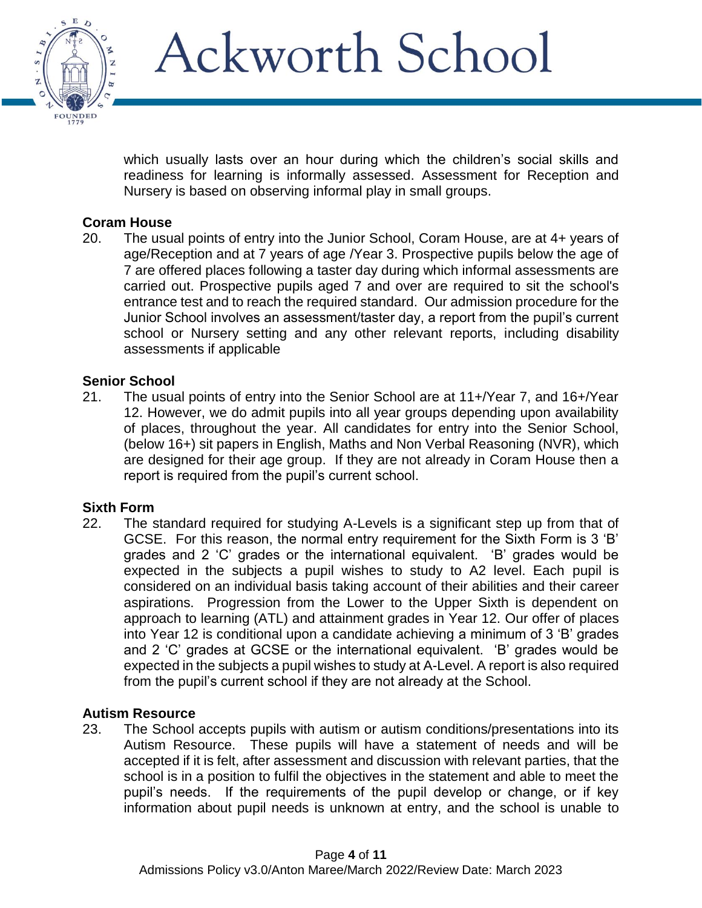

which usually lasts over an hour during which the children's social skills and readiness for learning is informally assessed. Assessment for Reception and Nursery is based on observing informal play in small groups.

### **Coram House**

20. The usual points of entry into the Junior School, Coram House, are at 4+ years of age/Reception and at 7 years of age /Year 3. Prospective pupils below the age of 7 are offered places following a taster day during which informal assessments are carried out. Prospective pupils aged 7 and over are required to sit the school's entrance test and to reach the required standard. Our admission procedure for the Junior School involves an assessment/taster day, a report from the pupil's current school or Nursery setting and any other relevant reports, including disability assessments if applicable

### **Senior School**

21. The usual points of entry into the Senior School are at 11+/Year 7, and 16+/Year 12. However, we do admit pupils into all year groups depending upon availability of places, throughout the year. All candidates for entry into the Senior School, (below 16+) sit papers in English, Maths and Non Verbal Reasoning (NVR), which are designed for their age group. If they are not already in Coram House then a report is required from the pupil's current school.

### **Sixth Form**

22. The standard required for studying A-Levels is a significant step up from that of GCSE. For this reason, the normal entry requirement for the Sixth Form is 3 'B' grades and 2 'C' grades or the international equivalent. 'B' grades would be expected in the subjects a pupil wishes to study to A2 level. Each pupil is considered on an individual basis taking account of their abilities and their career aspirations. Progression from the Lower to the Upper Sixth is dependent on approach to learning (ATL) and attainment grades in Year 12. Our offer of places into Year 12 is conditional upon a candidate achieving a minimum of 3 'B' grades and 2 'C' grades at GCSE or the international equivalent. 'B' grades would be expected in the subjects a pupil wishes to study at A-Level. A report is also required from the pupil's current school if they are not already at the School.

### **Autism Resource**

23. The School accepts pupils with autism or autism conditions/presentations into its Autism Resource. These pupils will have a statement of needs and will be accepted if it is felt, after assessment and discussion with relevant parties, that the school is in a position to fulfil the objectives in the statement and able to meet the pupil's needs. If the requirements of the pupil develop or change, or if key information about pupil needs is unknown at entry, and the school is unable to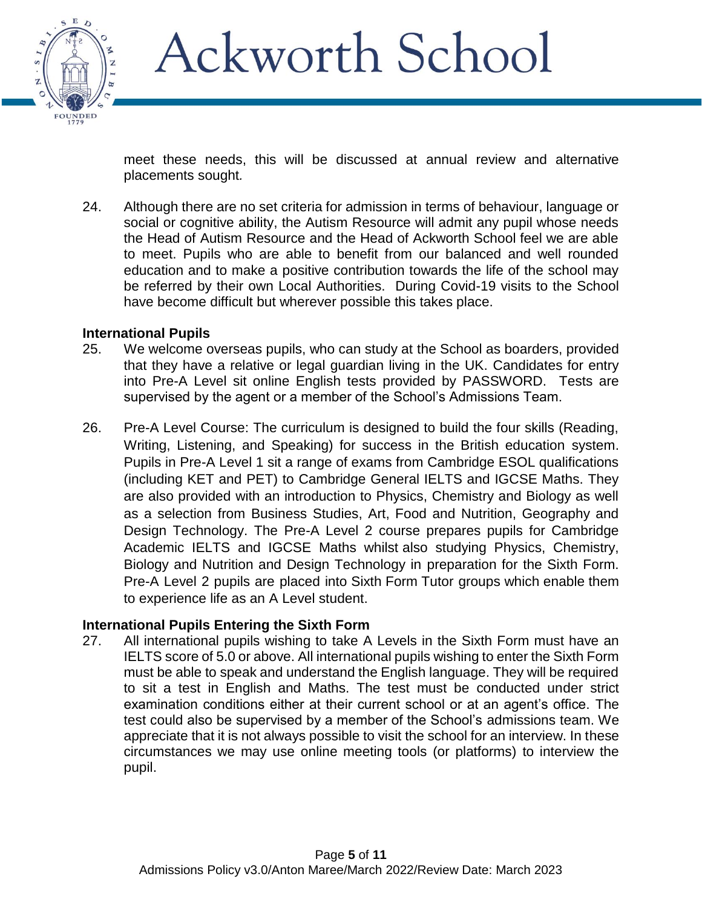

meet these needs, this will be discussed at annual review and alternative placements sought*.*

24. Although there are no set criteria for admission in terms of behaviour, language or social or cognitive ability, the Autism Resource will admit any pupil whose needs the Head of Autism Resource and the Head of Ackworth School feel we are able to meet. Pupils who are able to benefit from our balanced and well rounded education and to make a positive contribution towards the life of the school may be referred by their own Local Authorities. During Covid-19 visits to the School have become difficult but wherever possible this takes place.

### **International Pupils**

- 25. We welcome overseas pupils, who can study at the School as boarders, provided that they have a relative or legal guardian living in the UK. Candidates for entry into Pre-A Level sit online English tests provided by PASSWORD. Tests are supervised by the agent or a member of the School's Admissions Team.
- 26. Pre-A Level Course: The curriculum is designed to build the four skills (Reading, Writing, Listening, and Speaking) for success in the British education system. Pupils in Pre-A Level 1 sit a range of exams from Cambridge ESOL qualifications (including KET and PET) to Cambridge General IELTS and IGCSE Maths. They are also provided with an introduction to Physics, Chemistry and Biology as well as a selection from Business Studies, Art, Food and Nutrition, Geography and Design Technology. The Pre-A Level 2 course prepares pupils for Cambridge Academic IELTS and IGCSE Maths whilst also studying Physics, Chemistry, Biology and Nutrition and Design Technology in preparation for the Sixth Form. Pre-A Level 2 pupils are placed into Sixth Form Tutor groups which enable them to experience life as an A Level student.

### **International Pupils Entering the Sixth Form**

27. All international pupils wishing to take A Levels in the Sixth Form must have an IELTS score of 5.0 or above. All international pupils wishing to enter the Sixth Form must be able to speak and understand the English language. They will be required to sit a test in English and Maths. The test must be conducted under strict examination conditions either at their current school or at an agent's office. The test could also be supervised by a member of the School's admissions team. We appreciate that it is not always possible to visit the school for an interview. In these circumstances we may use online meeting tools (or platforms) to interview the pupil.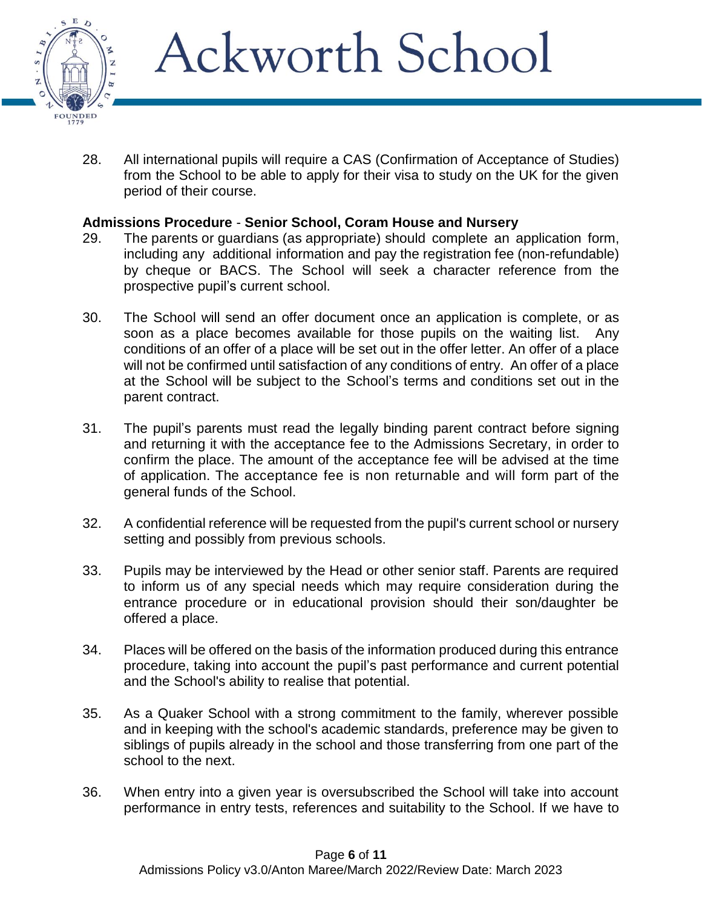

28. All international pupils will require a CAS (Confirmation of Acceptance of Studies) from the School to be able to apply for their visa to study on the UK for the given period of their course.

### **Admissions Procedure** - **Senior School, Coram House and Nursery**

- 29. The parents or guardians (as appropriate) should complete an application form, including any additional information and pay the registration fee (non-refundable) by cheque or BACS. The School will seek a character reference from the prospective pupil's current school.
- 30. The School will send an offer document once an application is complete, or as soon as a place becomes available for those pupils on the waiting list. Any conditions of an offer of a place will be set out in the offer letter. An offer of a place will not be confirmed until satisfaction of any conditions of entry. An offer of a place at the School will be subject to the School's terms and conditions set out in the parent contract.
- 31. The pupil's parents must read the legally binding parent contract before signing and returning it with the acceptance fee to the Admissions Secretary, in order to confirm the place. The amount of the acceptance fee will be advised at the time of application. The acceptance fee is non returnable and will form part of the general funds of the School.
- 32. A confidential reference will be requested from the pupil's current school or nursery setting and possibly from previous schools.
- 33. Pupils may be interviewed by the Head or other senior staff. Parents are required to inform us of any special needs which may require consideration during the entrance procedure or in educational provision should their son/daughter be offered a place.
- 34. Places will be offered on the basis of the information produced during this entrance procedure, taking into account the pupil's past performance and current potential and the School's ability to realise that potential.
- 35. As a Quaker School with a strong commitment to the family, wherever possible and in keeping with the school's academic standards, preference may be given to siblings of pupils already in the school and those transferring from one part of the school to the next.
- 36. When entry into a given year is oversubscribed the School will take into account performance in entry tests, references and suitability to the School. If we have to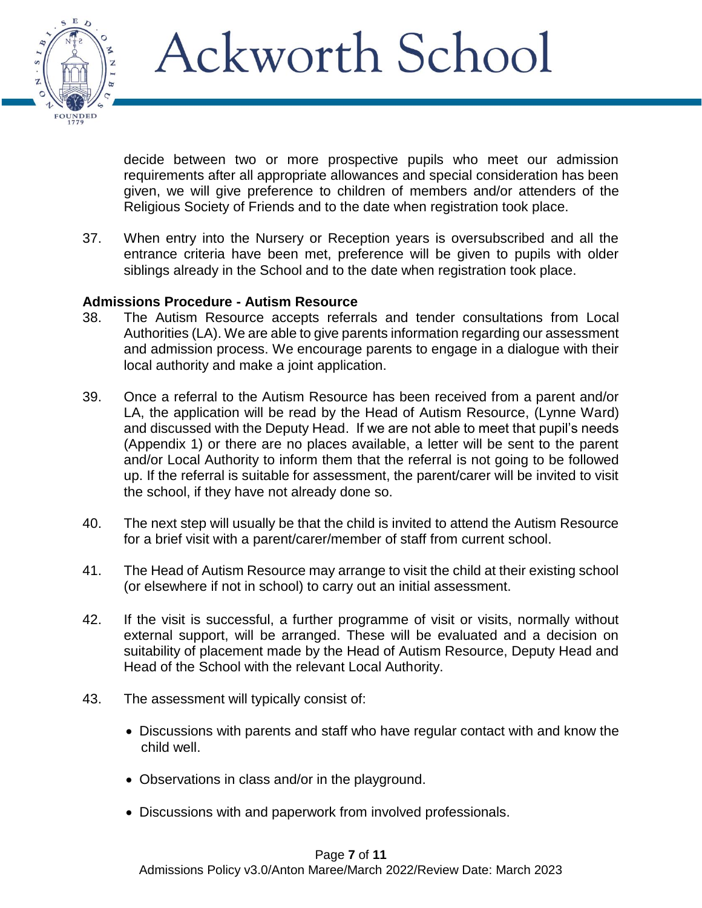

decide between two or more prospective pupils who meet our admission requirements after all appropriate allowances and special consideration has been given, we will give preference to children of members and/or attenders of the Religious Society of Friends and to the date when registration took place.

37. When entry into the Nursery or Reception years is oversubscribed and all the entrance criteria have been met, preference will be given to pupils with older siblings already in the School and to the date when registration took place.

#### **Admissions Procedure - Autism Resource**

- 38. The Autism Resource accepts referrals and tender consultations from Local Authorities (LA). We are able to give parents information regarding our assessment and admission process. We encourage parents to engage in a dialogue with their local authority and make a joint application.
- 39. Once a referral to the Autism Resource has been received from a parent and/or LA, the application will be read by the Head of Autism Resource, (Lynne Ward) and discussed with the Deputy Head. If we are not able to meet that pupil's needs (Appendix 1) or there are no places available, a letter will be sent to the parent and/or Local Authority to inform them that the referral is not going to be followed up. If the referral is suitable for assessment, the parent/carer will be invited to visit the school, if they have not already done so.
- 40. The next step will usually be that the child is invited to attend the Autism Resource for a brief visit with a parent/carer/member of staff from current school.
- 41. The Head of Autism Resource may arrange to visit the child at their existing school (or elsewhere if not in school) to carry out an initial assessment.
- 42. If the visit is successful, a further programme of visit or visits, normally without external support, will be arranged. These will be evaluated and a decision on suitability of placement made by the Head of Autism Resource, Deputy Head and Head of the School with the relevant Local Authority.
- 43. The assessment will typically consist of:
	- Discussions with parents and staff who have regular contact with and know the child well.
	- Observations in class and/or in the playground.
	- Discussions with and paperwork from involved professionals.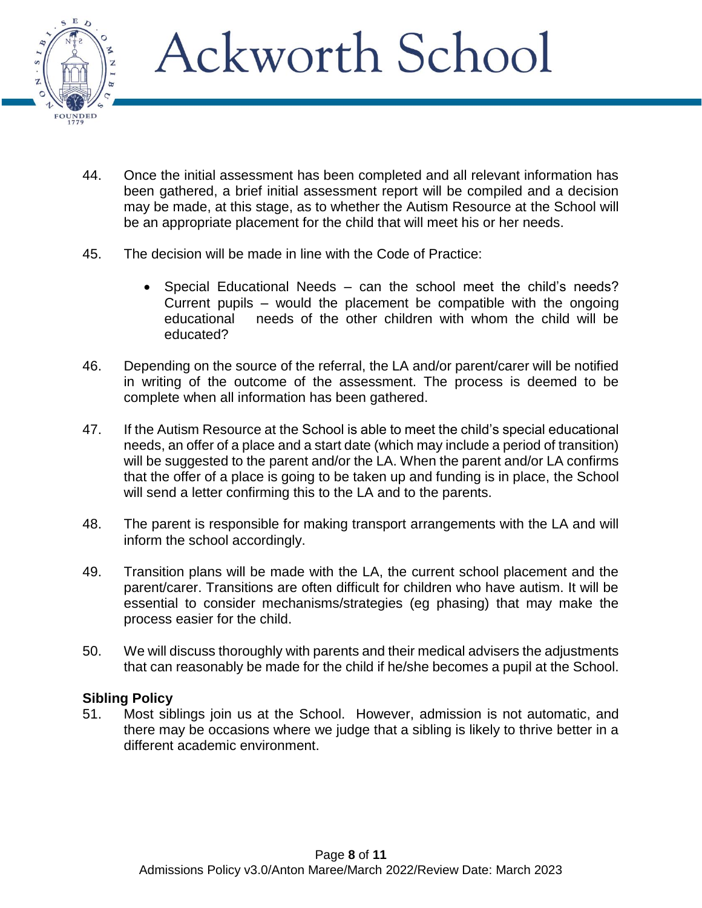

- 44. Once the initial assessment has been completed and all relevant information has been gathered, a brief initial assessment report will be compiled and a decision may be made, at this stage, as to whether the Autism Resource at the School will be an appropriate placement for the child that will meet his or her needs.
- 45. The decision will be made in line with the Code of Practice:
	- Special Educational Needs can the school meet the child's needs? Current pupils – would the placement be compatible with the ongoing educational needs of the other children with whom the child will be educated?
- 46. Depending on the source of the referral, the LA and/or parent/carer will be notified in writing of the outcome of the assessment. The process is deemed to be complete when all information has been gathered.
- 47. If the Autism Resource at the School is able to meet the child's special educational needs, an offer of a place and a start date (which may include a period of transition) will be suggested to the parent and/or the LA. When the parent and/or LA confirms that the offer of a place is going to be taken up and funding is in place, the School will send a letter confirming this to the LA and to the parents.
- 48. The parent is responsible for making transport arrangements with the LA and will inform the school accordingly.
- 49. Transition plans will be made with the LA, the current school placement and the parent/carer. Transitions are often difficult for children who have autism. It will be essential to consider mechanisms/strategies (eg phasing) that may make the process easier for the child.
- 50. We will discuss thoroughly with parents and their medical advisers the adjustments that can reasonably be made for the child if he/she becomes a pupil at the School.

### **Sibling Policy**

51. Most siblings join us at the School. However, admission is not automatic, and there may be occasions where we judge that a sibling is likely to thrive better in a different academic environment.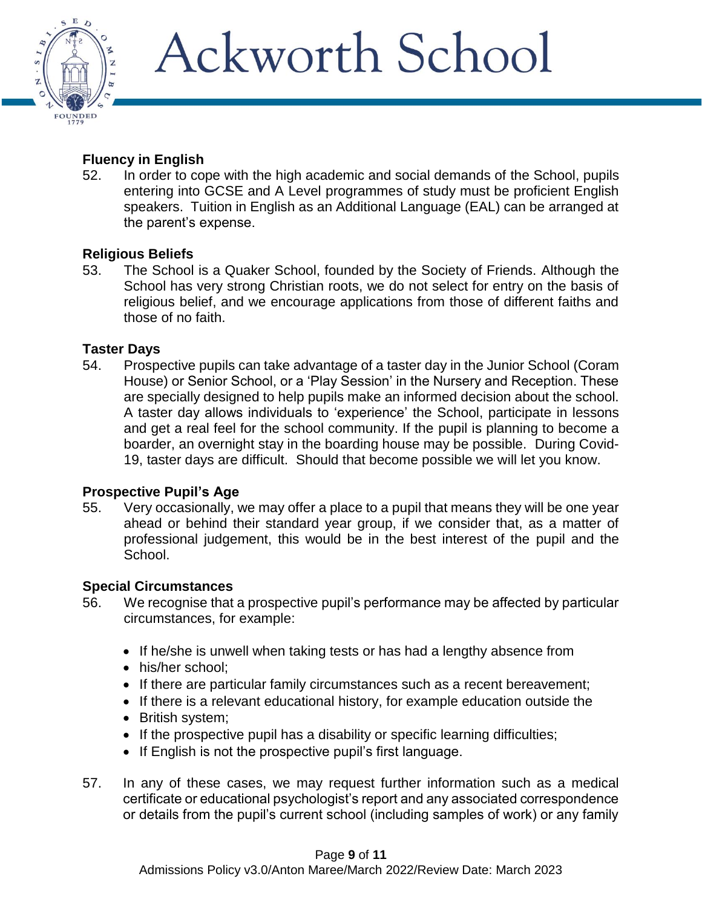

## **Fluency in English**

52. In order to cope with the high academic and social demands of the School, pupils entering into GCSE and A Level programmes of study must be proficient English speakers. Tuition in English as an Additional Language (EAL) can be arranged at the parent's expense.

### **Religious Beliefs**

53. The School is a Quaker School, founded by the Society of Friends. Although the School has very strong Christian roots, we do not select for entry on the basis of religious belief, and we encourage applications from those of different faiths and those of no faith.

### **Taster Days**

54. Prospective pupils can take advantage of a taster day in the Junior School (Coram House) or Senior School, or a 'Play Session' in the Nursery and Reception. These are specially designed to help pupils make an informed decision about the school. A taster day allows individuals to 'experience' the School, participate in lessons and get a real feel for the school community. If the pupil is planning to become a boarder, an overnight stay in the boarding house may be possible. During Covid-19, taster days are difficult. Should that become possible we will let you know.

### **Prospective Pupil's Age**

55. Very occasionally, we may offer a place to a pupil that means they will be one year ahead or behind their standard year group, if we consider that, as a matter of professional judgement, this would be in the best interest of the pupil and the School.

### **Special Circumstances**

- 56. We recognise that a prospective pupil's performance may be affected by particular circumstances, for example:
	- If he/she is unwell when taking tests or has had a lengthy absence from
	- his/her school;
	- If there are particular family circumstances such as a recent bereavement;
	- If there is a relevant educational history, for example education outside the
	- British system;
	- If the prospective pupil has a disability or specific learning difficulties;
	- If English is not the prospective pupil's first language.
- 57. In any of these cases, we may request further information such as a medical certificate or educational psychologist's report and any associated correspondence or details from the pupil's current school (including samples of work) or any family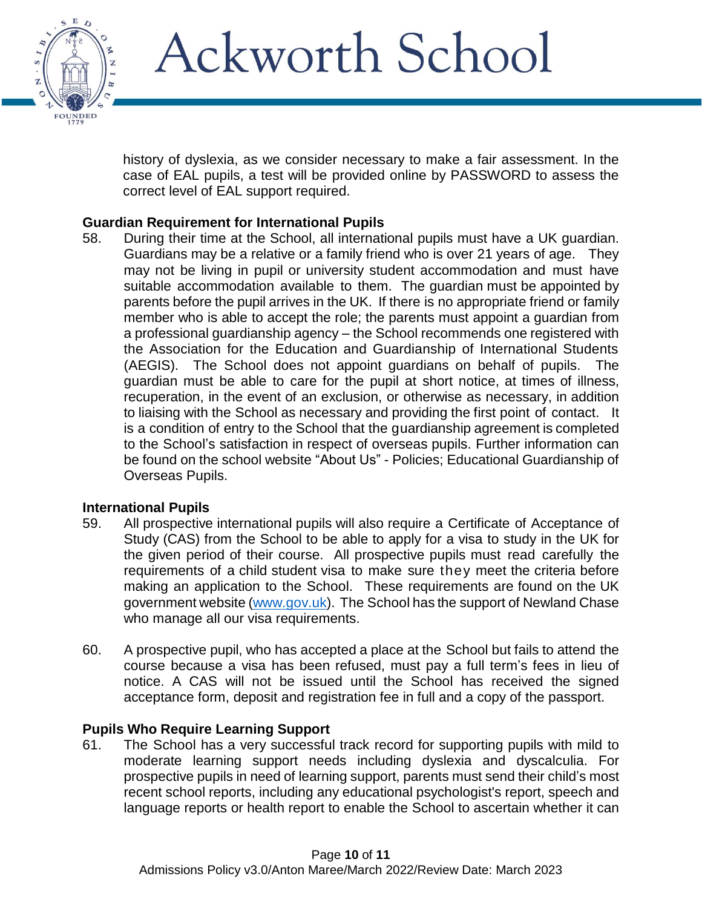

history of dyslexia, as we consider necessary to make a fair assessment. In the case of EAL pupils, a test will be provided online by PASSWORD to assess the correct level of EAL support required.

### **Guardian Requirement for International Pupils**

58. During their time at the School, all international pupils must have a UK guardian. Guardians may be a relative or a family friend who is over 21 years of age. They may not be living in pupil or university student accommodation and must have suitable accommodation available to them. The guardian must be appointed by parents before the pupil arrives in the UK. If there is no appropriate friend or family member who is able to accept the role; the parents must appoint a guardian from a professional guardianship agency – the School recommends one registered with the Association for the Education and Guardianship of International Students (AEGIS). The School does not appoint guardians on behalf of pupils. The guardian must be able to care for the pupil at short notice, at times of illness, recuperation, in the event of an exclusion, or otherwise as necessary, in addition to liaising with the School as necessary and providing the first point of contact. It is a condition of entry to the School that the guardianship agreement is completed to the School's satisfaction in respect of overseas pupils. Further information can be found on the school website "About Us" - Policies; Educational Guardianship of Overseas Pupils.

### **International Pupils**

- 59. All prospective international pupils will also require a Certificate of Acceptance of Study (CAS) from the School to be able to apply for a visa to study in the UK for the given period of their course. All prospective pupils must read carefully the requirements of a child student visa to make sure they meet the criteria before making an application to the School. These requirements are found on the UK government website [\(www.gov.uk\)](http://www.gov.uk/). The School has the support of Newland Chase who manage all our visa requirements.
- 60. A prospective pupil, who has accepted a place at the School but fails to attend the course because a visa has been refused, must pay a full term's fees in lieu of notice. A CAS will not be issued until the School has received the signed acceptance form, deposit and registration fee in full and a copy of the passport.

### **Pupils Who Require Learning Support**

61. The School has a very successful track record for supporting pupils with mild to moderate learning support needs including dyslexia and dyscalculia. For prospective pupils in need of learning support, parents must send their child's most recent school reports, including any educational psychologist's report, speech and language reports or health report to enable the School to ascertain whether it can